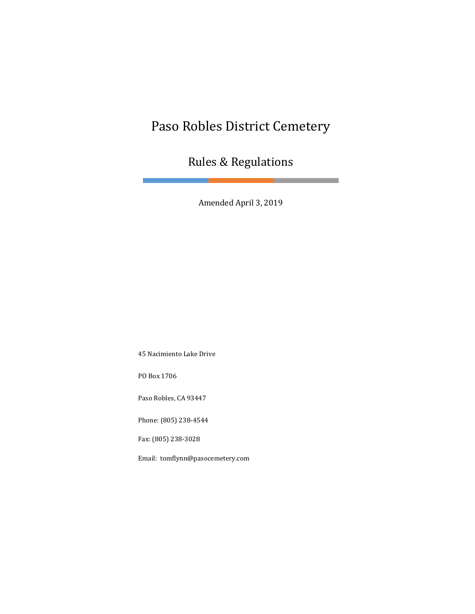## Paso Robles District Cemetery

Rules & Regulations

Amended April 3, 2019

45 Nacimiento Lake Drive

PO Box 1706

Paso Robles, CA 93447

Phone: (805) 238-4544

Fax: (805) 238-3028

Email: tomflynn@pasocemetery.com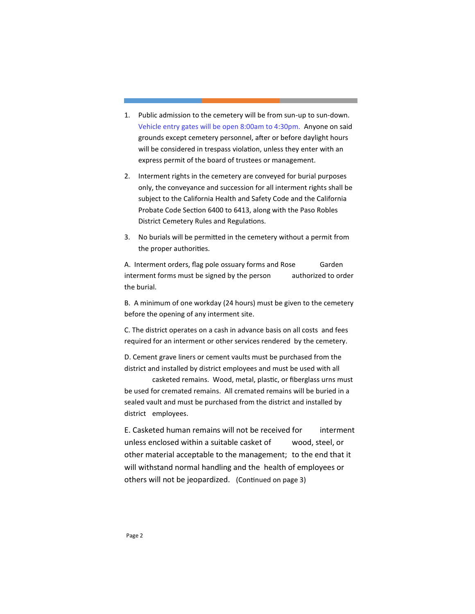- 1. Public admission to the cemetery will be from sun-up to sun-down. Vehicle entry gates will be open 8:00am to 4:30pm. Anyone on said grounds except cemetery personnel, after or before daylight hours will be considered in trespass violation, unless they enter with an express permit of the board of trustees or management.
- 2. Interment rights in the cemetery are conveyed for burial purposes only, the conveyance and succession for all interment rights shall be subject to the California Health and Safety Code and the California Probate Code Section 6400 to 6413, along with the Paso Robles District Cemetery Rules and Regulations.
- 3. No burials will be permitted in the cemetery without a permit from the proper authorities.

A. Interment orders, flag pole ossuary forms and Rose Garden interment forms must be signed by the person authorized to order the burial.

B. A minimum of one workday (24 hours) must be given to the cemetery before the opening of any interment site.

C. The district operates on a cash in advance basis on all costs and fees required for an interment or other services rendered by the cemetery.

D. Cement grave liners or cement vaults must be purchased from the district and installed by district employees and must be used with all

casketed remains. Wood, metal, plastic, or fiberglass urns must be used for cremated remains. All cremated remains will be buried in a sealed vault and must be purchased from the district and installed by district employees.

E. Casketed human remains will not be received for interment unless enclosed within a suitable casket of wood, steel, or other material acceptable to the management; to the end that it will withstand normal handling and the health of employees or others will not be jeopardized. (Continued on page 3)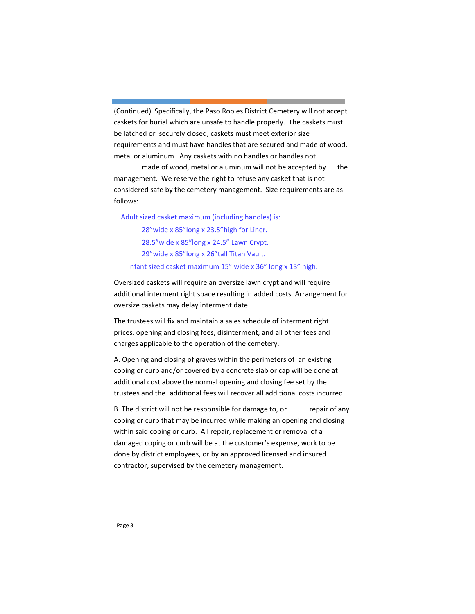(Continued) Specifically, the Paso Robles District Cemetery will not accept caskets for burial which are unsafe to handle properly. The caskets must be latched or securely closed, caskets must meet exterior size requirements and must have handles that are secured and made of wood, metal or aluminum. Any caskets with no handles or handles not

made of wood, metal or aluminum will not be accepted by the management. We reserve the right to refuse any casket that is not considered safe by the cemetery management. Size requirements are as follows:

 Adult sized casket maximum (including handles) is: 28"wide x 85"long x 23.5"high for Liner. 28.5"wide x 85"long x 24.5" Lawn Crypt. 29"wide x 85"long x 26"tall Titan Vault. Infant sized casket maximum 15" wide x 36" long x 13" high.

Oversized caskets will require an oversize lawn crypt and will require additional interment right space resulting in added costs. Arrangement for oversize caskets may delay interment date.

The trustees will fix and maintain a sales schedule of interment right prices, opening and closing fees, disinterment, and all other fees and charges applicable to the operation of the cemetery.

A. Opening and closing of graves within the perimeters of an existing coping or curb and/or covered by a concrete slab or cap will be done at additional cost above the normal opening and closing fee set by the trustees and the additional fees will recover all additional costs incurred.

B. The district will not be responsible for damage to, or repair of any coping or curb that may be incurred while making an opening and closing within said coping or curb. All repair, replacement or removal of a damaged coping or curb will be at the customer's expense, work to be done by district employees, or by an approved licensed and insured contractor, supervised by the cemetery management.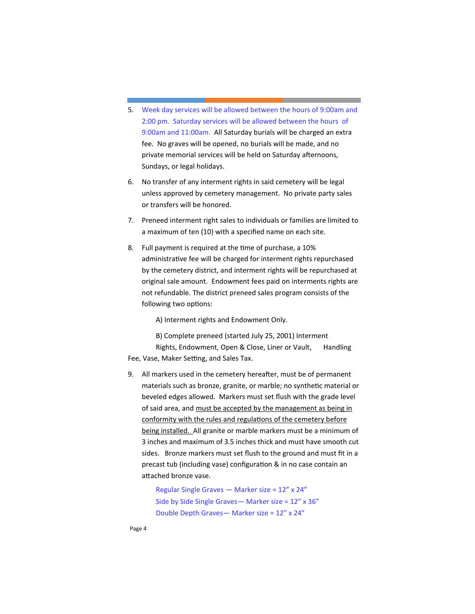- 5. Week day services will be allowed between the hours of 9:00am and 2:00 pm. Saturday services will be allowed between the hours of 9:00am and 11:00am. All Saturday burials will be charged an extra fee. No graves will be opened, no burials will be made, and no private memorial services will be held on Saturday afternoons, Sundays, or legal holidays.
- 6. No transfer of any interment rights in said cemetery will be legal unless approved by cemetery management. No private party sales or transfers will be honored.
- 7. Preneed interment right sales to individuals or families are limited to a maximum of ten (10) with a specified name on each site.
- 8. Full payment is required at the time of purchase, a 10% administrative fee will be charged for interment rights repurchased by the cemetery district, and interment rights will be repurchased at original sale amount. Endowment fees paid on interments rights are not refundable. The district preneed sales program consists of the following two options:

A) Interment rights and Endowment Only.

B) Complete preneed (started July 25, 2001) Interment Rights, Endowment, Open & Close, Liner or Vault, Handling Fee, Vase, Maker Setting, and Sales Tax.

9. All markers used in the cemetery hereafter, must be of permanent materials such as bronze, granite, or marble; no synthetic material or beveled edges allowed. Markers must set flush with the grade level of said area, and must be accepted by the management as being in conformity with the rules and regulations of the cemetery before being installed. All granite or marble markers must be a minimum of 3 inches and maximum of 3.5 inches thick and must have smooth cut sides. Bronze markers must set flush to the ground and must fit in a precast tub (including vase) configuration & in no case contain an attached bronze vase.

> Regular Single Graves — Marker size = 12" x 24" Side by Side Single Graves— Marker size = 12" x 36" Double Depth Graves— Marker size = 12" x 24"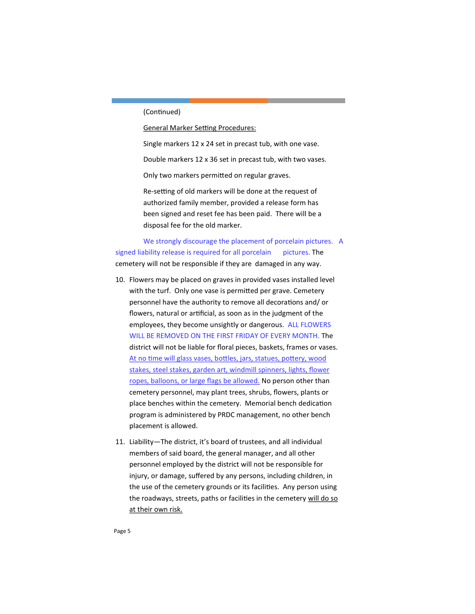## (Continued)

General Marker Setting Procedures:

Single markers 12 x 24 set in precast tub, with one vase.

Double markers 12 x 36 set in precast tub, with two vases.

Only two markers permitted on regular graves.

Re-setting of old markers will be done at the request of authorized family member, provided a release form has been signed and reset fee has been paid. There will be a disposal fee for the old marker.

We strongly discourage the placement of porcelain pictures. A signed liability release is required for all porcelain pictures. The cemetery will not be responsible if they are damaged in any way.

- 10. Flowers may be placed on graves in provided vases installed level with the turf. Only one vase is permitted per grave. Cemetery personnel have the authority to remove all decorations and/ or flowers, natural or artificial, as soon as in the judgment of the employees, they become unsightly or dangerous. ALL FLOWERS WILL BE REMOVED ON THE FIRST FRIDAY OF EVERY MONTH. The district will not be liable for floral pieces, baskets, frames or vases. At no time will glass vases, bottles, jars, statues, pottery, wood stakes, steel stakes, garden art, windmill spinners, lights, flower ropes, balloons, or large flags be allowed. No person other than cemetery personnel, may plant trees, shrubs, flowers, plants or place benches within the cemetery. Memorial bench dedication program is administered by PRDC management, no other bench placement is allowed.
- 11. Liability—The district, it's board of trustees, and all individual members of said board, the general manager, and all other personnel employed by the district will not be responsible for injury, or damage, suffered by any persons, including children, in the use of the cemetery grounds or its facilities. Any person using the roadways, streets, paths or facilities in the cemetery will do so at their own risk.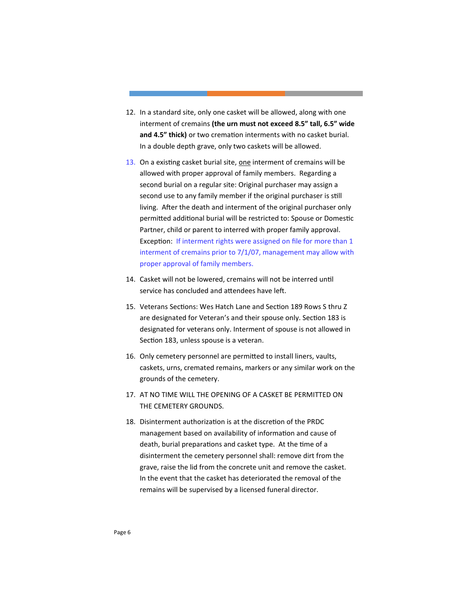- 12. In a standard site, only one casket will be allowed, along with one interment of cremains **(the urn must not exceed 8.5" tall, 6.5" wide and 4.5" thick)** or two cremation interments with no casket burial. In a double depth grave, only two caskets will be allowed.
- 13. On a existing casket burial site, one interment of cremains will be allowed with proper approval of family members. Regarding a second burial on a regular site: Original purchaser may assign a second use to any family member if the original purchaser is still living. After the death and interment of the original purchaser only permitted additional burial will be restricted to: Spouse or Domestic Partner, child or parent to interred with proper family approval. Exception: If interment rights were assigned on file for more than 1 interment of cremains prior to 7/1/07, management may allow with proper approval of family members.
- 14. Casket will not be lowered, cremains will not be interred until service has concluded and attendees have left.
- 15. Veterans Sections: Wes Hatch Lane and Section 189 Rows S thru Z are designated for Veteran's and their spouse only. Section 183 is designated for veterans only. Interment of spouse is not allowed in Section 183, unless spouse is a veteran.
- 16. Only cemetery personnel are permitted to install liners, vaults, caskets, urns, cremated remains, markers or any similar work on the grounds of the cemetery.
- 17. AT NO TIME WILL THE OPENING OF A CASKET BE PERMITTED ON THE CEMETERY GROUNDS.
- 18. Disinterment authorization is at the discretion of the PRDC management based on availability of information and cause of death, burial preparations and casket type. At the time of a disinterment the cemetery personnel shall: remove dirt from the grave, raise the lid from the concrete unit and remove the casket. In the event that the casket has deteriorated the removal of the remains will be supervised by a licensed funeral director.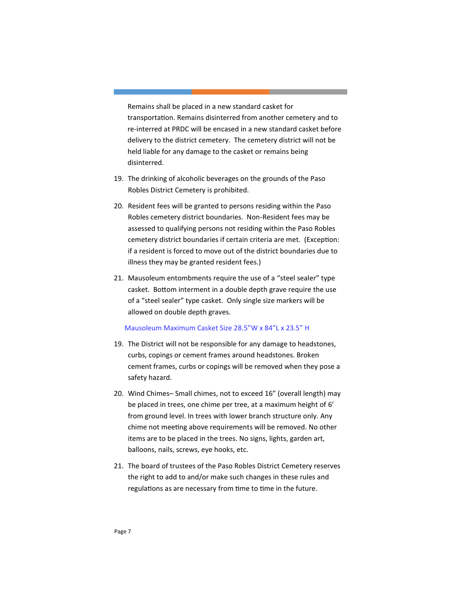Remains shall be placed in a new standard casket for transportation. Remains disinterred from another cemetery and to re-interred at PRDC will be encased in a new standard casket before delivery to the district cemetery. The cemetery district will not be held liable for any damage to the casket or remains being disinterred.

- 19. The drinking of alcoholic beverages on the grounds of the Paso Robles District Cemetery is prohibited.
- 20. Resident fees will be granted to persons residing within the Paso Robles cemetery district boundaries. Non-Resident fees may be assessed to qualifying persons not residing within the Paso Robles cemetery district boundaries if certain criteria are met. (Exception: if a resident is forced to move out of the district boundaries due to illness they may be granted resident fees.)
- 21. Mausoleum entombments require the use of a "steel sealer" type casket. Bottom interment in a double depth grave require the use of a "steel sealer" type casket. Only single size markers will be allowed on double depth graves.

## Mausoleum Maximum Casket Size 28.5"W x 84"L x 23.5" H

- 19. The District will not be responsible for any damage to headstones, curbs, copings or cement frames around headstones. Broken cement frames, curbs or copings will be removed when they pose a safety hazard.
- 20. Wind Chimes– Small chimes, not to exceed 16" (overall length) may be placed in trees, one chime per tree, at a maximum height of 6' from ground level. In trees with lower branch structure only. Any chime not meeting above requirements will be removed. No other items are to be placed in the trees. No signs, lights, garden art, balloons, nails, screws, eye hooks, etc.
- 21. The board of trustees of the Paso Robles District Cemetery reserves the right to add to and/or make such changes in these rules and regulations as are necessary from time to time in the future.